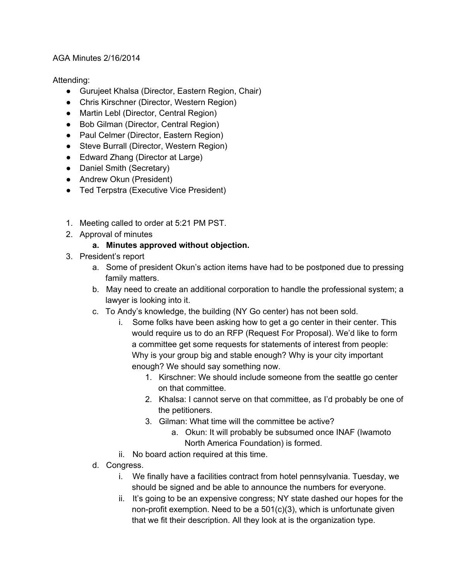## AGA Minutes 2/16/2014

Attending:

- Gurujeet Khalsa (Director, Eastern Region, Chair)
- Chris Kirschner (Director, Western Region)
- Martin Lebl (Director, Central Region)
- Bob Gilman (Director, Central Region)
- Paul Celmer (Director, Eastern Region)
- Steve Burrall (Director, Western Region)
- Edward Zhang (Director at Large)
- Daniel Smith (Secretary)
- Andrew Okun (President)
- Ted Terpstra (Executive Vice President)
- 1. Meeting called to order at 5:21 PM PST.
- 2. Approval of minutes

## **a. Minutes approved without objection.**

- 3. President's report
	- a. Some of president Okun's action items have had to be postponed due to pressing family matters.
	- b. May need to create an additional corporation to handle the professional system; a lawyer is looking into it.
	- c. To Andy's knowledge, the building (NY Go center) has not been sold.
		- i. Some folks have been asking how to get a go center in their center. This would require us to do an RFP (Request For Proposal). We'd like to form a committee get some requests for statements of interest from people: Why is your group big and stable enough? Why is your city important enough? We should say something now.
			- 1. Kirschner: We should include someone from the seattle go center on that committee.
			- 2. Khalsa: I cannot serve on that committee, as I'd probably be one of the petitioners.
			- 3. Gilman: What time will the committee be active?
				- a. Okun: It will probably be subsumed once INAF (Iwamoto North America Foundation) is formed.
		- ii. No board action required at this time.
	- d. Congress.
		- i. We finally have a facilities contract from hotel pennsylvania. Tuesday, we should be signed and be able to announce the numbers for everyone.
		- ii. It's going to be an expensive congress; NY state dashed our hopes for the non-profit exemption. Need to be a  $501(c)(3)$ , which is unfortunate given that we fit their description. All they look at is the organization type.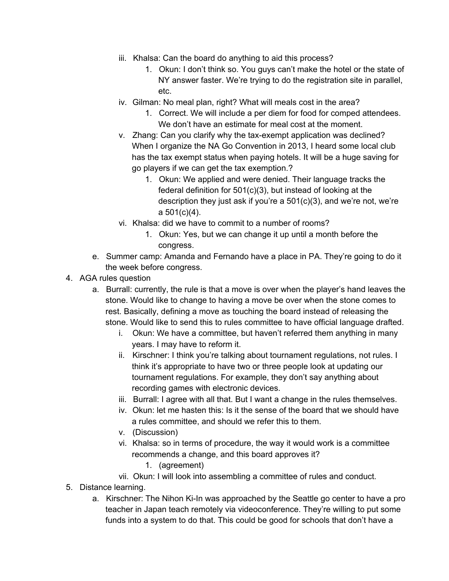- iii. Khalsa: Can the board do anything to aid this process?
	- 1. Okun: I don't think so. You guys can't make the hotel or the state of NY answer faster. We're trying to do the registration site in parallel, etc.
- iv. Gilman: No meal plan, right? What will meals cost in the area?
	- 1. Correct. We will include a per diem for food for comped attendees. We don't have an estimate for meal cost at the moment.
- v. Zhang: Can you clarify why the tax-exempt application was declined? When I organize the NA Go Convention in 2013, I heard some local club has the tax exempt status when paying hotels. It will be a huge saving for go players if we can get the tax exemption.?
	- 1. Okun: We applied and were denied. Their language tracks the federal definition for 501(c)(3), but instead of looking at the description they just ask if you're a 501(c)(3), and we're not, we're a 501(c)(4).
- vi. Khalsa: did we have to commit to a number of rooms?
	- 1. Okun: Yes, but we can change it up until a month before the congress.
- e. Summer camp: Amanda and Fernando have a place in PA. They're going to do it the week before congress.
- 4. AGA rules question
	- a. Burrall: currently, the rule is that a move is over when the player's hand leaves the stone. Would like to change to having a move be over when the stone comes to rest. Basically, defining a move as touching the board instead of releasing the stone. Would like to send this to rules committee to have official language drafted.
		- i. Okun: We have a committee, but haven't referred them anything in many years. I may have to reform it.
		- ii. Kirschner: I think you're talking about tournament regulations, not rules. I think it's appropriate to have two or three people look at updating our tournament regulations. For example, they don't say anything about recording games with electronic devices.
		- iii. Burrall: I agree with all that. But I want a change in the rules themselves.
		- iv. Okun: let me hasten this: Is it the sense of the board that we should have a rules committee, and should we refer this to them.
		- v. (Discussion)
		- vi. Khalsa: so in terms of procedure, the way it would work is a committee recommends a change, and this board approves it?
			- 1. (agreement)
		- vii. Okun: I will look into assembling a committee of rules and conduct.
- 5. Distance learning.
	- a. Kirschner: The Nihon Ki-In was approached by the Seattle go center to have a pro teacher in Japan teach remotely via videoconference. They're willing to put some funds into a system to do that. This could be good for schools that don't have a